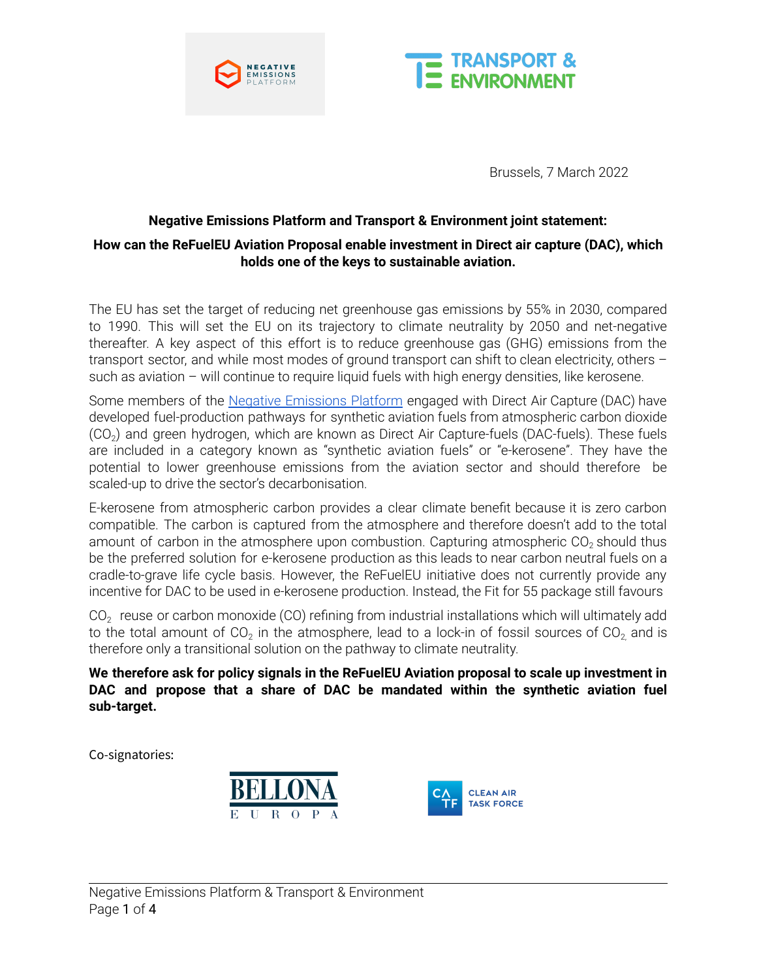



Brussels, 7 March 2022

# **Negative Emissions Platform and Transport & Environment joint statement: How can the ReFuelEU Aviation Proposal enable investment in Direct air capture (DAC), which holds one of the keys to sustainable aviation.**

The EU has set the target of reducing net greenhouse gas emissions by 55% in 2030, compared to 1990. This will set the EU on its trajectory to climate neutrality by 2050 and net-negative thereafter. A key aspect of this effort is to reduce greenhouse gas (GHG) emissions from the transport sector, and while most modes of ground transport can shift to clean electricity, others such as aviation – will continue to require liquid fuels with high energy densities, like kerosene.

Some members of the Negative [Emissions](https://www.negative-emissions.org/) Platform engaged with Direct Air Capture (DAC) have developed fuel-production pathways for synthetic aviation fuels from atmospheric carbon dioxide (CO<sub>2</sub>) and green hydrogen, which are known as Direct Air Capture-fuels (DAC-fuels). These fuels are included in a category known as "synthetic aviation fuels" or "e-kerosene". They have the potential to lower greenhouse emissions from the aviation sector and should therefore be scaled-up to drive the sector's decarbonisation.

E-kerosene from atmospheric carbon provides a clear climate benefit because it is zero carbon compatible. The carbon is captured from the atmosphere and therefore doesn't add to the total amount of carbon in the atmosphere upon combustion. Capturing atmospheric CO<sub>2</sub> should thus be the preferred solution for e-kerosene production as this leads to near carbon neutral fuels on a cradle-to-grave life cycle basis. However, the ReFuelEU initiative does not currently provide any incentive for DAC to be used in e-kerosene production. Instead, the Fit for 55 package still favours

CO<sub>2</sub> reuse or carbon monoxide (CO) refining from industrial installations which will ultimately add to the total amount of CO<sub>2</sub> in the atmosphere, lead to a lock-in of fossil sources of CO<sub>2,</sub> and is therefore only a transitional solution on the pathway to climate neutrality.

**We therefore ask for policy signals in the ReFuelEU Aviation proposal to scale up investment in DAC and propose that a share of DAC be mandated within the synthetic aviation fuel sub-target.**

Co-signatories:



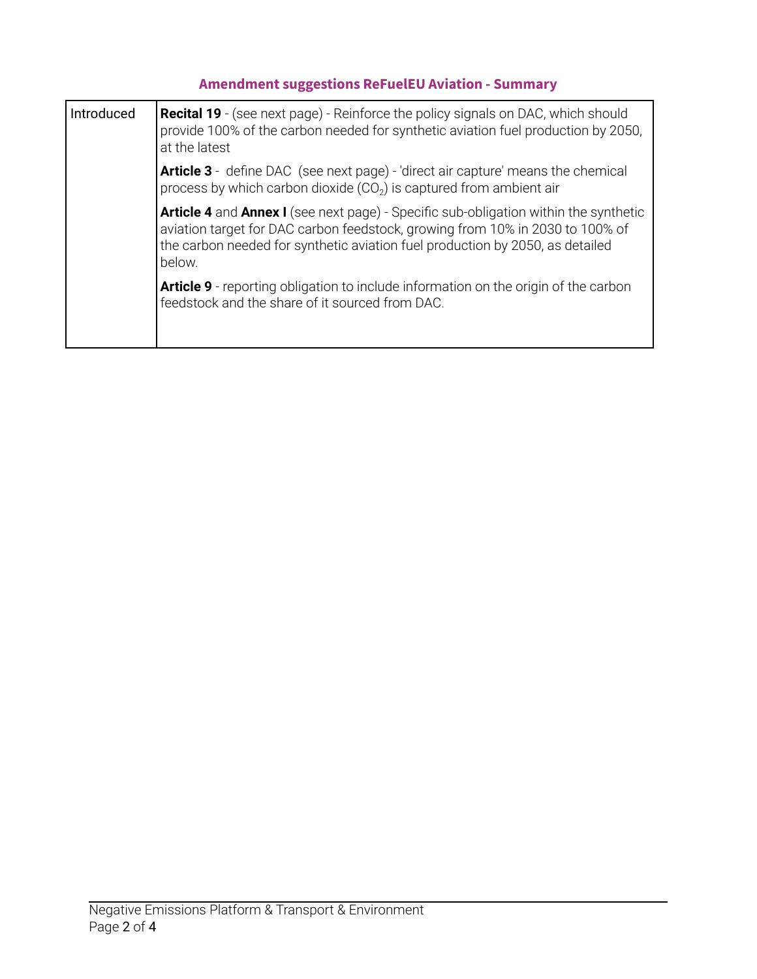# **Amendment suggestions ReFuelEU Aviation - Summary**

| <b>Introduced</b> | <b>Recital 19</b> - (see next page) - Reinforce the policy signals on DAC, which should<br>provide 100% of the carbon needed for synthetic aviation fuel production by 2050,<br>at the latest                                                                    |
|-------------------|------------------------------------------------------------------------------------------------------------------------------------------------------------------------------------------------------------------------------------------------------------------|
|                   | <b>Article 3</b> - define DAC (see next page) - 'direct air capture' means the chemical<br>process by which carbon dioxide $(CO2)$ is captured from ambient air                                                                                                  |
|                   | Article 4 and Annex I (see next page) - Specific sub-obligation within the synthetic<br>aviation target for DAC carbon feedstock, growing from 10% in 2030 to 100% of<br>the carbon needed for synthetic aviation fuel production by 2050, as detailed<br>below. |
|                   | <b>Article 9</b> - reporting obligation to include information on the origin of the carbon<br>feedstock and the share of it sourced from DAC.                                                                                                                    |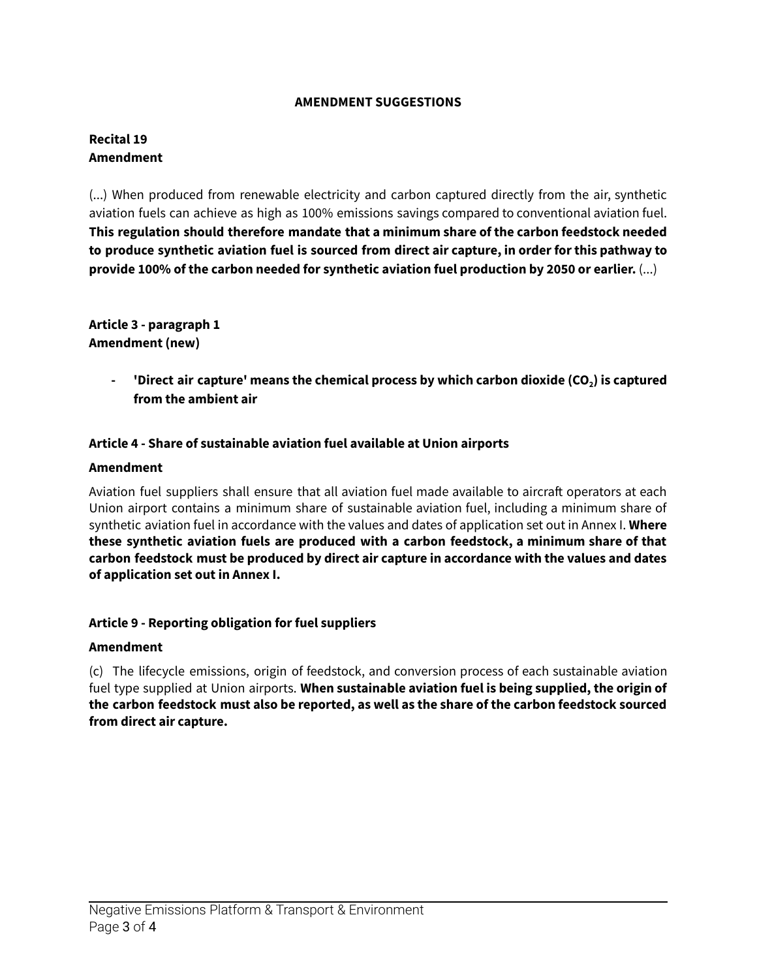#### **AMENDMENT SUGGESTIONS**

#### **Recital 19 Amendment**

(...) When produced from renewable electricity and carbon captured directly from the air, synthetic aviation fuels can achieve as high as 100% emissions savings compared to conventional aviation fuel. **This regulation should therefore mandate that a minimum share of the carbon feedstock needed to produce synthetic aviation fuel is sourced from direct air capture, in order for this pathway to provide 100% of the carbon needed for synthetic aviation fuel production by 2050 or earlier.** (...)

**Article 3 - paragraph 1 Amendment (new)**

> **- 'Direct air capture' means the chemical process by which carbon dioxide (CO2) is captured from the ambient air**

#### **Article 4 - Share of sustainable aviation fuel available at Union airports**

#### **Amendment**

Aviation fuel suppliers shall ensure that all aviation fuel made available to aircraft operators at each Union airport contains a minimum share of sustainable aviation fuel, including a minimum share of synthetic aviation fuel in accordance with the values and dates of application set out in Annex I. **Where these synthetic aviation fuels are produced with a carbon feedstock, a minimum share of that carbon feedstock must be produced by direct air capture in accordance with the values and dates of application set out in Annex I.**

#### **Article 9 - Reporting obligation for fuel suppliers**

#### **Amendment**

(c) The lifecycle emissions, origin of feedstock, and conversion process of each sustainable aviation fuel type supplied at Union airports. **When sustainable aviation fuel is being supplied, the origin of the carbon feedstock must also be reported, as well as the share of the carbon feedstock sourced from direct air capture.**